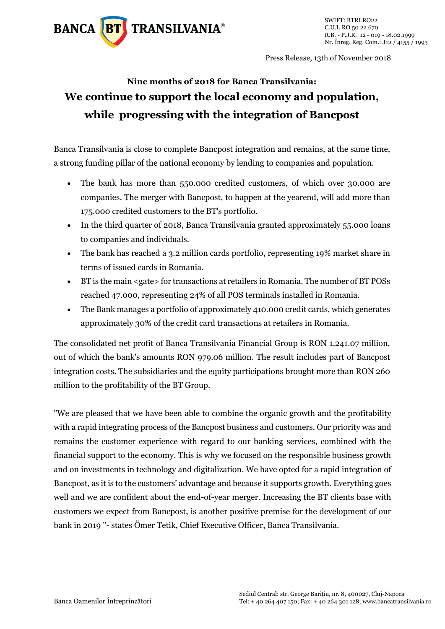

Press Release, 13th of November 2018

## **Nine months of 2018 for Banca Transilvania: We continue to support the local economy and population, while progressing with the integration of Bancpost**

Banca Transilvania is close to complete Bancpost integration and remains, at the same time, a strong funding pillar of the national economy by lending to companies and population.

- The bank has more than 550.000 credited customers, of which over 30.000 are companies. The merger with Bancpost, to happen at the yearend, will add more than 175.000 credited customers to the BT's portfolio.
- In the third quarter of 2018, Banca Transilvania granted approximately 55.000 loans to companies and individuals.
- The bank has reached a 3.2 million cards portfolio, representing 19% market share in terms of issued cards in Romania.
- BT is the main <gate> for transactions at retailers in Romania. The number of BT POSs reached 47.000, representing 24% of all POS terminals installed in Romania.
- The Bank manages a portfolio of approximately 410.000 credit cards, which generates approximately 30% of the credit card transactions at retailers in Romania.

The consolidated net profit of Banca Transilvania Financial Group is RON 1,241.07 million, out of which the bank's amounts RON 979.06 million. The result includes part of Bancpost integration costs. The subsidiaries and the equity participations brought more than RON 260 million to the profitability of the BT Group.

"We are pleased that we have been able to combine the organic growth and the profitability with a rapid integrating process of the Bancpost business and customers. Our priority was and remains the customer experience with regard to our banking services, combined with the financial support to the economy. This is why we focused on the responsible business growth and on investments in technology and digitalization. We have opted for a rapid integration of Bancpost, as it is to the customers' advantage and because it supports growth. Everything goes well and we are confident about the end-of-year merger. Increasing the BT clients base with customers we expect from Bancpost, is another positive premise for the development of our bank in 2019 "- states Ömer Tetik, Chief Executive Officer, Banca Transilvania.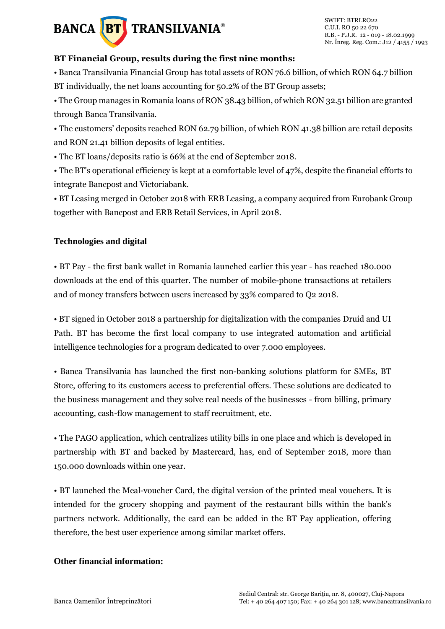# **BANCA BT** TRANSILVANIA®

#### **BT Financial Group, results during the first nine months:**

• Banca Transilvania Financial Group has total assets of RON 76.6 billion, of which RON 64.7 billion BT individually, the net loans accounting for 50.2% of the BT Group assets;

• The Group manages in Romania loans of RON 38.43 billion, of which RON 32.51 billion are granted through Banca Transilvania.

• The customers' deposits reached RON 62.79 billion, of which RON 41.38 billion are retail deposits and RON 21.41 billion deposits of legal entities.

• The BT loans/deposits ratio is 66% at the end of September 2018.

• The BT's operational efficiency is kept at a comfortable level of 47%, despite the financial efforts to integrate Bancpost and Victoriabank.

• BT Leasing merged in October 2018 with ERB Leasing, a company acquired from Eurobank Group together with Bancpost and ERB Retail Services, in April 2018.

#### **Technologies and digital**

• BT Pay - the first bank wallet in Romania launched earlier this year - has reached 180.000 downloads at the end of this quarter. The number of mobile-phone transactions at retailers and of money transfers between users increased by 33% compared to Q2 2018.

• BT signed in October 2018 a partnership for digitalization with the companies Druid and UI Path. BT has become the first local company to use integrated automation and artificial intelligence technologies for a program dedicated to over 7.000 employees.

• Banca Transilvania has launched the first non-banking solutions platform for SMEs, BT Store, offering to its customers access to preferential offers. These solutions are dedicated to the business management and they solve real needs of the businesses - from billing, primary accounting, cash-flow management to staff recruitment, etc.

• The PAGO application, which centralizes utility bills in one place and which is developed in partnership with BT and backed by Mastercard, has, end of September 2018, more than 150.000 downloads within one year.

• BT launched the Meal-voucher Card, the digital version of the printed meal vouchers. It is intended for the grocery shopping and payment of the restaurant bills within the bank's partners network. Additionally, the card can be added in the BT Pay application, offering therefore, the best user experience among similar market offers.

### **Other financial information:**